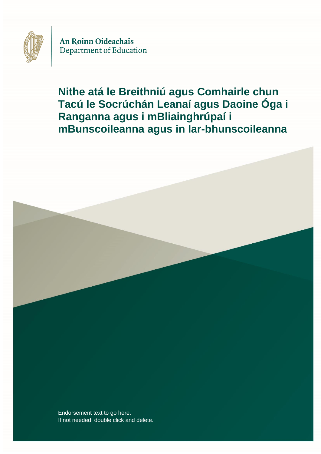

An Roinn Oideachais Department of Education

**Nithe atá le Breithniú agus Comhairle chun Tacú le Socrúchán Leanaí agus Daoine Óga i Ranganna agus i mBliainghrúpaí i mBunscoileanna agus in Iar-bhunscoileanna**

Endorsement text to go here. If not needed, double click and delete.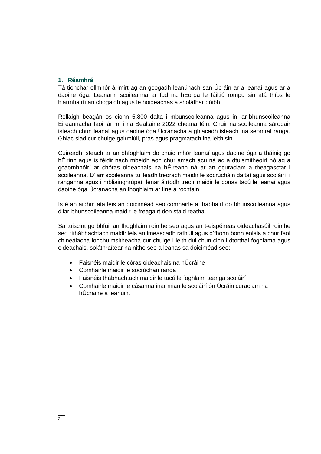### **1. Réamhrá**

Tá tionchar ollmhór á imirt ag an gcogadh leanúnach san Úcráin ar a leanaí agus ar a daoine óga. Leanann scoileanna ar fud na hEorpa le fáiltiú rompu sin atá thíos le hiarmhairtí an chogaidh agus le hoideachas a sholáthar dóibh.

Rollaigh beagán os cionn 5,800 dalta i mbunscoileanna agus in iar-bhunscoileanna Éireannacha faoi lár mhí na Bealtaine 2022 cheana féin. Chuir na scoileanna sárobair isteach chun leanaí agus daoine óga Úcránacha a ghlacadh isteach ina seomraí ranga. Ghlac siad cur chuige gairmiúil, pras agus pragmatach ina leith sin.

Cuireadh isteach ar an bhfoghlaim do chuid mhór leanaí agus daoine óga a tháinig go hÉirinn agus is féidir nach mbeidh aon chur amach acu ná ag a dtuismitheoirí nó ag a gcaomhnóirí ar chóras oideachais na hÉireann ná ar an gcuraclam a theagasctar i scoileanna. D'iarr scoileanna tuilleadh treorach maidir le socrúcháin daltaí agus scoláirí i ranganna agus i mbliainghrúpaí, lenar áiríodh treoir maidir le conas tacú le leanaí agus daoine óga Úcránacha an fhoghlaim ar líne a rochtain.

Is é an aidhm atá leis an doiciméad seo comhairle a thabhairt do bhunscoileanna agus d'iar-bhunscoileanna maidir le freagairt don staid reatha.

Sa tuiscint go bhfuil an fhoghlaim roimhe seo agus an t-eispéireas oideachasúil roimhe seo ríthábhachtach maidir leis an imeascadh rathúil agus d'fhonn bonn eolais a chur faoi chineálacha ionchuimsitheacha cur chuige i leith dul chun cinn i dtorthaí foghlama agus oideachais, soláthraítear na nithe seo a leanas sa doiciméad seo:

- Faisnéis maidir le córas oideachais na hÚcráine
- Comhairle maidir le socrúchán ranga
- Faisnéis thábhachtach maidir le tacú le foghlaim teanga scoláirí
- Comhairle maidir le cásanna inar mian le scoláirí ón Úcráin curaclam na hÚcráine a leanúint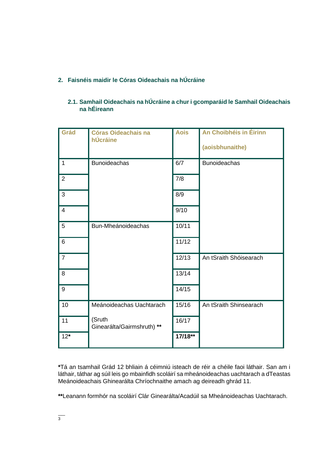# **2. Faisnéis maidir le Córas Oideachais na hÚcráine**

| Grád           | <b>Córas Oideachais na</b><br>hÚcráine | <b>Aois</b> | An Choibhéis in Éirinn |
|----------------|----------------------------------------|-------------|------------------------|
|                |                                        |             | (aoisbhunaithe)        |
| $\mathbf 1$    | <b>Bunoideachas</b>                    | 6/7         | <b>Bunoideachas</b>    |
| $\overline{2}$ |                                        | 7/8         |                        |
| 3              |                                        | 8/9         |                        |
| $\overline{4}$ |                                        | 9/10        |                        |
| 5              | Bun-Mheánoideachas                     | 10/11       |                        |
| 6              |                                        | 11/12       |                        |
| $\overline{7}$ |                                        | 12/13       | An tSraith Shóisearach |
| 8              |                                        | 13/14       |                        |
| 9              |                                        | 14/15       |                        |
| 10             | Meánoideachas Uachtarach               | 15/16       | An tSraith Shinsearach |
| 11             | (Sruth<br>Ginearálta/Gairmshruth) **   | 16/17       |                        |
| $12*$          |                                        | 17/18**     |                        |

## **2.1. Samhail Oideachais na hÚcráine a chur i gcomparáid le Samhail Oideachais na hÉireann**

**\***Tá an tsamhail Grád 12 bhliain á céimniú isteach de réir a chéile faoi láthair. San am i láthair, táthar ag súil leis go mbainfidh scoláirí sa mheánoideachas uachtarach a dTeastas Meánoideachais Ghinearálta Chríochnaithe amach ag deireadh ghrád 11.

**\*\***Leanann formhór na scoláirí Clár Ginearálta/Acadúil sa Mheánoideachas Uachtarach.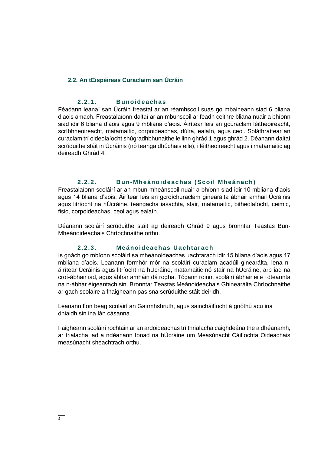#### **2.2. An tEispéireas Curaclaim san Úcráin**

#### **2. 2.1. Bunoi de ac ha s**

Féadann leanaí san Úcráin freastal ar an réamhscoil suas go mbaineann siad 6 bliana d'aois amach. Freastalaíonn daltaí ar an mbunscoil ar feadh ceithre bliana nuair a bhíonn siad idir 6 bliana d'aois agus 9 mbliana d'aois. Áirítear leis an gcuraclam léitheoireacht, scríbhneoireacht, matamaitic, corpoideachas, dúlra, ealaín, agus ceol. Soláthraítear an curaclam trí oideolaíocht shúgradhbhunaithe le linn ghrád 1 agus ghrád 2. Déanann daltaí scrúduithe stáit in Úcráinis (nó teanga dhúchais eile), i léitheoireacht agus i matamaitic ag deireadh Ghrád 4.

#### **2. 2.2. Bun-Mheá noi de achas ( Scoil Mheá nac h)**

Freastalaíonn scoláirí ar an mbun-mheánscoil nuair a bhíonn siad idir 10 mbliana d'aois agus 14 bliana d'aois. Áirítear leis an gcroíchuraclam ginearálta ábhair amhail Úcráinis agus litríocht na hÚcráine, teangacha iasachta, stair, matamaitic, bitheolaíocht, ceimic, fisic, corpoideachas, ceol agus ealaín.

Déanann scoláirí scrúduithe stáit ag deireadh Ghrád 9 agus bronntar Teastas Bun-Mheánoideachais Chríochnaithe orthu.

## **2. 2.3. Me ánoidea chas Ua cht ar ac h**

Is gnách go mbíonn scoláirí sa mheánoideachas uachtarach idir 15 bliana d'aois agus 17 mbliana d'aois. Leanann formhór mór na scoláirí curaclam acadúil ginearálta, lena náirítear Úcráinis agus litríocht na hÚcráine, matamaitic nó stair na hÚcráine, arb iad na croí-ábhair iad, agus ábhar amháin dá rogha. Tógann roinnt scoláirí ábhair eile i dteannta na n-ábhar éigeantach sin. Bronntar Teastas Meánoideachais Ghinearálta Chríochnaithe ar gach scoláire a fhaigheann pas sna scrúduithe stáit deiridh.

Leanann líon beag scoláirí an Gairmhshruth, agus saincháilíocht á gnóthú acu ina dhiaidh sin ina lán cásanna.

Faigheann scoláirí rochtain ar an ardoideachas trí thrialacha caighdeánaithe a dhéanamh, ar trialacha iad a ndéanann Ionad na hÚcráine um Measúnacht Cáilíochta Oideachais measúnacht sheachtrach orthu.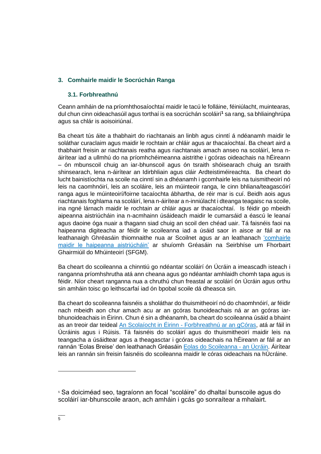## **3. Comhairle maidir le Socrúchán Ranga**

## **3.1. Forbhreathnú**

Ceann amháin de na príomhthosaíochtaí maidir le tacú le folláine, féiniúlacht, muintearas, dul chun cinn oideachasúil agus torthaí is ea socrúchán scoláirí**<sup>1</sup>** sa rang, sa bhliainghrúpa agus sa chlár is aoisoiriúnaí.

Ba cheart tús áite a thabhairt do riachtanais an linbh agus cinntí á ndéanamh maidir le soláthar curaclaim agus maidir le rochtain ar chláir agus ar thacaíochtaí. Ba cheart aird a thabhairt freisin ar riachtanais reatha agus riachtanais amach anseo na scoláirí, lena náirítear iad a ullmhú do na príomhchéimeanna aistrithe i gcóras oideachais na hÉireann – ón mbunscoil chuig an iar-bhunscoil agus ón tsraith shóisearach chuig an tsraith shinsearach, lena n-áirítear an Idirbhliain agus cláir Ardteistiméireachta. Ba cheart do lucht bainistíochta na scoile na cinntí sin a dhéanamh i gcomhairle leis na tuismitheoirí nó leis na caomhnóirí, leis an scoláire, leis an múinteoir ranga, le cinn bhliana/teagascóirí ranga agus le múinteoirí/foirne tacaíochta ábhartha, de réir mar is cuí. Beidh aois agus riachtanais foghlama na scoláirí, lena n-áirítear a n-inniúlacht i dteanga teagaisc na scoile, ina ngné lárnach maidir le rochtain ar chláir agus ar thacaíochtaí. Is féidir go mbeidh aipeanna aistriúcháin ina n-acmhainn úsáideach maidir le cumarsáid a éascú le leanaí agus daoine óga nuair a thagann siad chuig an scoil den chéad uair. Tá faisnéis faoi na haipeanna digiteacha ar féidir le scoileanna iad a úsáid saor in aisce ar fáil ar na leathanaigh Ghréasáin thiomnaithe nua ar Scoilnet agus ar an leathanach 'comhairle [maidir le haipeanna aistriúcháin'](https://www.pdst.ie/sites/default/files/What%20free%20digital%20tools%20are%20available.pdf) ar shuíomh Gréasáin na Seirbhíse um Fhorbairt Ghairmiúil do Mhúinteoirí (SFGM).

Ba cheart do scoileanna a chinntiú go ndéantar scoláirí ón Úcráin a imeascadh isteach i ranganna príomhshrutha atá ann cheana agus go ndéantar amhlaidh chomh tapa agus is féidir. Níor cheart ranganna nua a chruthú chun freastal ar scoláirí ón Úcráin agus orthu sin amháin toisc go leithscarfaí iad ón bpobal scoile dá dheasca sin.

Ba cheart do scoileanna faisnéis a sholáthar do thuismitheoirí nó do chaomhnóirí, ar féidir nach mbeidh aon chur amach acu ar an gcóras bunoideachais ná ar an gcóras iarbhunoideachais in Éirinn. Chun é sin a dhéanamh, ba cheart do scoileanna úsáid a bhaint as an treoir dar teideal An Scolaíocht in Éirinn - [Forbhreathnú ar an gCóras,](https://www.pdst.ie/cultural-and-linguistic-supports) atá ar fáil in Úcráinis agus i Rúisis. Tá faisnéis do scoláirí agus do thuismitheoirí maidir leis na teangacha a úsáidtear agus a theagasctar i gcóras oideachais na hÉireann ar fáil ar an rannán 'Eolas Breise' den leathanach Gréasáin [Eolas do Scoileanna -](https://www.gov.ie/en/publication/48639-information-for-schools-ukraine/#additional-information) an Úcráin. Áirítear leis an rannán sin freisin faisnéis do scoileanna maidir le córas oideachais na hÚcráine.

**<sup>1</sup>** Sa doiciméad seo, tagraíonn an focal "scoláire" do dhaltaí bunscoile agus do scoláirí iar-bhunscoile araon, ach amháin i gcás go sonraítear a mhalairt.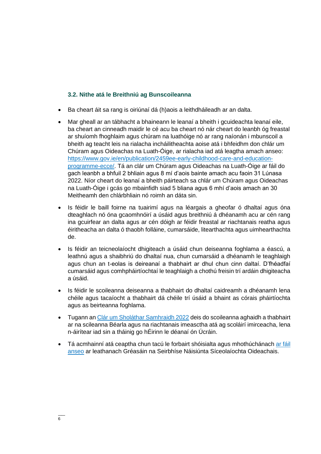#### **3.2. Nithe atá le Breithniú ag Bunscoileanna**

- Ba cheart áit sa rang is oiriúnaí dá (h)aois a leithdháileadh ar an dalta.
- Mar gheall ar an tábhacht a bhaineann le leanaí a bheith i gcuideachta leanaí eile, ba cheart an cinneadh maidir le cé acu ba cheart nó nár cheart do leanbh óg freastal ar shuíomh fhoghlaim agus chúram na luathóige nó ar rang naíonán i mbunscoil a bheith ag teacht leis na rialacha incháilitheachta aoise atá i bhfeidhm don chlár um Chúram agus Oideachas na Luath-Óige, ar rialacha iad atá leagtha amach anseo: [https://www.gov.ie/en/publication/2459ee-early-childhood-care-and-education](https://www.gov.ie/en/publication/2459ee-early-childhood-care-and-education-programme-ecce/)[programme-ecce/.](https://www.gov.ie/en/publication/2459ee-early-childhood-care-and-education-programme-ecce/) Tá an clár um Chúram agus Oideachas na Luath-Óige ar fáil do gach leanbh a bhfuil 2 bhliain agus 8 mí d'aois bainte amach acu faoin 31 Lúnasa 2022. Níor cheart do leanaí a bheith páirteach sa chlár um Chúram agus Oideachas na Luath-Óige i gcás go mbainfidh siad 5 bliana agus 6 mhí d'aois amach an 30 Meitheamh den chlárbhliain nó roimh an dáta sin.
- Is féidir le baill foirne na tuairimí agus na léargais a gheofar ó dhaltaí agus óna dteaghlach nó óna gcaomhnóirí a úsáid agus breithniú á dhéanamh acu ar cén rang ina gcuirfear an dalta agus ar cén dóigh ar féidir freastal ar riachtanais reatha agus éiritheacha an dalta ó thaobh folláine, cumarsáide, litearthachta agus uimhearthachta de.
- Is féidir an teicneolaíocht dhigiteach a úsáid chun deiseanna foghlama a éascú, a leathnú agus a shaibhriú do dhaltaí nua, chun cumarsáid a dhéanamh le teaghlaigh agus chun an t-eolas is deireanaí a thabhairt ar dhul chun cinn daltaí. D'fhéadfaí cumarsáid agus comhpháirtíochtaí le teaghlaigh a chothú freisin trí ardáin dhigiteacha a úsáid.
- Is féidir le scoileanna deiseanna a thabhairt do dhaltaí caidreamh a dhéanamh lena chéile agus tacaíocht a thabhairt dá chéile trí úsáid a bhaint as córais pháirtíochta agus as beirteanna foghlama.
- Tugann an [Clár um Sholáthar Samhraidh 2022](https://www.gov.ie/en/publication/5d15a-summer-programme/) deis do scoileanna aghaidh a thabhairt ar na scileanna Béarla agus na riachtanais imeasctha atá ag scoláirí imirceacha, lena n-áirítear iad sin a tháinig go hÉirinn le déanaí ón Úcráin.
- Tá acmhainní atá ceaptha chun tacú le forbairt shóisialta agus mhothúchánach [ar fáil](https://www.gov.ie/en/collection/97aa18-national-educational-psychological-service-neps-resources-and-public/#behavioural-social-emotional-difficulties)  [anseo](https://www.gov.ie/en/collection/97aa18-national-educational-psychological-service-neps-resources-and-public/#behavioural-social-emotional-difficulties) ar leathanach Gréasáin na Seirbhíse Náisiúnta Síceolaíochta Oideachais.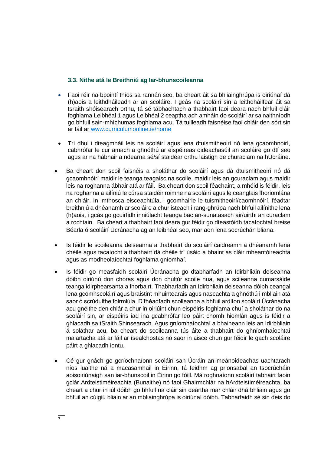## **3.3. Nithe atá le Breithniú ag Iar-bhunscoileanna**

- Faoi réir na bpointí thíos sa rannán seo, ba cheart áit sa bhliainghrúpa is oiriúnaí dá (h)aois a leithdháileadh ar an scoláire. I gcás na scoláirí sin a leithdháilfear áit sa tsraith shóisearach orthu, tá sé tábhachtach a thabhairt faoi deara nach bhfuil cláir foghlama Leibhéal 1 agus Leibhéal 2 ceaptha ach amháin do scoláirí ar sainaithníodh go bhfuil sain-mhíchumas foghlama acu. Tá tuilleadh faisnéise faoi chláir den sórt sin ar fáil ar [www.curriculumonline.ie/home](http://www.curriculunonline.ie/home)
- Trí dhul i dteagmháil leis na scoláirí agus lena dtuismitheoirí nó lena gcaomhnóirí, cabhrófar le cur amach a ghnóthú ar eispéireas oideachasúil an scoláire go dtí seo agus ar na hábhair a ndearna sé/sí staidéar orthu laistigh de churaclam na hÚcráine.
- Ba cheart don scoil faisnéis a sholáthar do scoláirí agus dá dtuismitheoirí nó dá gcaomhnóirí maidir le teanga teagaisc na scoile, maidir leis an gcuraclam agus maidir leis na roghanna ábhair atá ar fáil. Ba cheart don scoil féachaint, a mhéid is féidir, leis na roghanna a ailíniú le cúrsa staidéir roimhe na scoláirí agus le ceanglais fhoriomlána an chláir. In imthosca eisceachtúla, i gcomhairle le tuismitheoirí/caomhnóirí, féadtar breithniú a dhéanamh ar scoláire a chur isteach i rang-ghrúpa nach bhfuil ailínithe lena (h)aois, i gcás go gcuirfidh inniúlacht teanga bac an-sunatasach air/uirthi an curaclam a rochtain. Ba cheart a thabhairt faoi deara gur féidir go dteastóidh tacaíochtaí breise Béarla ó scoláirí Úcránacha ag an leibhéal seo, mar aon lena socrúchán bliana.
- Is féidir le scoileanna deiseanna a thabhairt do scoláirí caidreamh a dhéanamh lena chéile agus tacaíocht a thabhairt dá chéile trí úsáid a bhaint as cláir mheantóireachta agus as modheolaíochtaí foghlama gníomhaí.
- Is féidir go measfaidh scoláirí Úcránacha go dtabharfadh an Idirbhliain deiseanna dóibh oiriúnú don chóras agus don chultúr scoile nua, agus scileanna cumarsáide teanga idirphearsanta a fhorbairt. Thabharfadh an Idirbhliain deiseanna dóibh ceangal lena gcomhscoláirí agus braistint mhuintearais agus nascachta a ghnóthú i mbliain atá saor ó scrúduithe foirmiúla. D'fhéadfadh scoileanna a bhfuil ardlíon scoláirí Úcránacha acu gnéithe den chlár a chur in oiriúint chun eispéiris foghlama chuí a sholáthar do na scoláirí sin, ar eispéiris iad ina gcabhrófar leo páirt chomh hiomlán agus is féidir a ghlacadh sa tSraith Shinsearach. Agus gníomhaíochtaí a bhaineann leis an Idirbhliain á soláthar acu, ba cheart do scoileanna tús áite a thabhairt do ghníomhaíochtaí malartacha atá ar fáil ar ísealchostas nó saor in aisce chun gur féidir le gach scoláire páirt a ghlacadh iontu.
- Cé gur gnách go gcríochnaíonn scoláirí san Úcráin an meánoideachas uachtarach níos luaithe ná a macasamhail in Éirinn, tá feidhm ag prionsabal an tsocrúcháin aoisoiriúnaigh san iar-bhunscoil in Éirinn go fóill. Má roghnaíonn scoláirí tabhairt faoin gclár Ardteistiméireachta (Bunaithe) nó faoi Ghairmchlár na hArdteistiméireachta, ba cheart a chur in iúl dóibh go bhfuil na cláir sin deartha mar chláir dhá bhliain agus go bhfuil an cúigiú bliain ar an mbliainghrúpa is oiriúnaí dóibh. Tabharfaidh sé sin deis do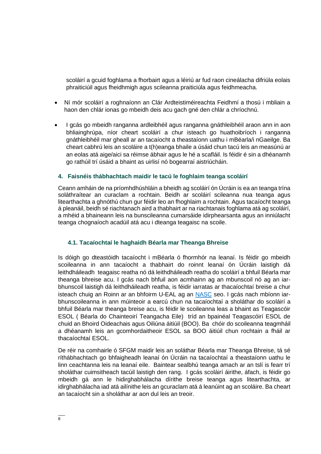scoláirí a gcuid foghlama a fhorbairt agus a léiriú ar fud raon cineálacha difriúla eolais phraiticiúil agus fheidhmigh agus scileanna praiticiúla agus feidhmeacha.

- Ní mór scoláirí a roghnaíonn an Clár Ardteistiméireachta Feidhmí a thosú i mbliain a haon den chlár ionas go mbeidh deis acu gach gné den chlár a chríochnú.
- I gcás go mbeidh ranganna ardleibhéil agus ranganna gnáthleibhéil araon ann in aon bhliainghrúpa, níor cheart scoláirí a chur isteach go huathoibríoch i ranganna gnáthleibhéil mar gheall ar an tacaíocht a theastaíonn uathu i mBéarla/i nGaeilge. Ba cheart cabhrú leis an scoláire a t(h)eanga bhaile a úsáid chun tacú leis an measúnú ar an eolas atá aige/aici sa réimse ábhair agus le hé a scafláil. Is féidir é sin a dhéanamh go rathúil trí úsáid a bhaint as uirlisí nó bogearraí aistriúcháin.

### **4. Faisnéis thábhachtach maidir le tacú le foghlaim teanga scoláirí**

Ceann amháin de na príomhdhúshláin a bheidh ag scoláirí ón Úcráin is ea an teanga trína soláthraítear an curaclam a rochtain. Beidh ar scoláirí scileanna nua teanga agus litearthachta a ghnóthú chun gur féidir leo an fhoghlaim a rochtain. Agus tacaíocht teanga á pleanáil, beidh sé riachtanach aird a thabhairt ar na riachtanais foghlama atá ag scoláirí, a mhéid a bhaineann leis na bunscileanna cumarsáide idirphearsanta agus an inniúlacht teanga chognaíoch acadúil atá acu i dteanga teagaisc na scoile.

## **4.1. Tacaíochtaí le haghaidh Béarla mar Theanga Bhreise**

Is dóigh go dteastóidh tacaíocht i mBéarla ó fhormhór na leanaí. Is féidir go mbeidh scoileanna in ann tacaíocht a thabhairt do roinnt leanaí ón Úcráin laistigh dá leithdháileadh teagaisc reatha nó dá leithdháileadh reatha do scoláirí a bhfuil Béarla mar theanga bhreise acu. I gcás nach bhfuil aon acmhainn ag an mbunscoil nó ag an iarbhunscoil laistigh dá leithdháileadh reatha, is féidir iarratas ar thacaíochtaí breise a chur isteach chuig an Roinn ar an bhfoirm U-EAL ag an [NASC](https://www.gov.ie/en/collection/2d706-staffing-arrangements-at-post-primary-level-forms/#form-u-eal-2022) seo. I gcás nach mbíonn iarbhunscoileanna in ann múinteoir a earcú chun na tacaíochtaí a sholáthar do scoláirí a bhfuil Béarla mar theanga breise acu, is féidir le scoileanna leas a bhaint as Teagascóir ESOL ( Béarla do Chainteoirí Teangacha Eile) tríd an bpainéal Teagascóirí ESOL de chuid an Bhoird Oideachais agus Oiliúna áitiúil (BOO). Ba chóir do scoileanna teagmháil a dhéanamh leis an gcomhordaitheoir ESOL sa BOO áitiúil chun rochtain a fháil ar thacaíochtaí ESOL.

De réir na comhairle ó SFGM maidir leis an soláthar Béarla mar Theanga Bhreise, tá sé ríthábhachtach go bhfaigheadh leanaí ón Úcráin na tacaíochtaí a theastaíonn uathu le linn ceachtanna leis na leanaí eile. Baintear sealbhú teanga amach ar an tslí is fearr trí sholáthar cuimsitheach tacúil laistigh den rang. I gcás scoláirí áirithe, áfach, is féidir go mbeidh gá ann le hidirghabhálacha dírithe breise teanga agus litearthachta, ar idirghabhálacha iad atá ailínithe leis an gcuraclam atá á leanúint ag an scoláire. Ba cheart an tacaíocht sin a sholáthar ar aon dul leis an treoir.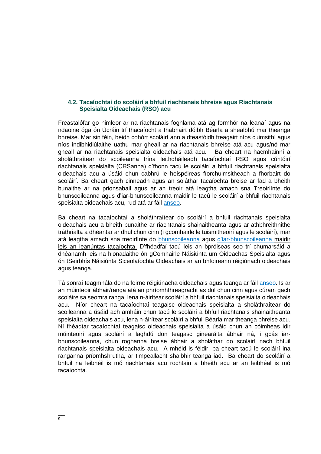#### **4.2. Tacaíochtaí do scoláirí a bhfuil riachtanais bhreise agus Riachtanais Speisialta Oideachais (RSO) acu**

Freastalófar go himleor ar na riachtanais foghlama atá ag formhór na leanaí agus na ndaoine óga ón Úcráin trí thacaíocht a thabhairt dóibh Béarla a shealbhú mar theanga bhreise. Mar sin féin, beidh cohórt scoláirí ann a dteastóidh freagairt níos cuimsithí agus níos indibhidiúlaithe uathu mar gheall ar na riachtanais bhreise atá acu agus/nó mar gheall ar na riachtanais speisialta oideachais atá acu. Ba cheart na hacmhainní a sholáthraítear do scoileanna trína leithdháileadh tacaíochtaí RSO agus cúntóirí riachtanais speisialta (CRSanna) d'fhonn tacú le scoláirí a bhfuil riachtanais speisialta oideachais acu a úsáid chun cabhrú le heispéireas fíorchuimsitheach a fhorbairt do scoláirí. Ba cheart gach cinneadh agus an soláthar tacaíochta breise ar fad a bheith bunaithe ar na prionsabail agus ar an treoir atá leagtha amach sna Treoirlínte do bhunscoileanna agus d'iar-bhunscoileanna maidir le tacú le scoláirí a bhfuil riachtanais speisialta oideachais acu, rud atá ar fáil [anseo.](https://www.gov.ie/en/publication/56c43-supporting-pupils-and-students-with-special-educational-needs-guidelines-for-schools/)

Ba cheart na tacaíochtaí a sholáthraítear do scoláirí a bhfuil riachtanais speisialta oideachais acu a bheith bunaithe ar riachtanais shainaitheanta agus ar athbhreithnithe tráthrialta a dhéantar ar dhul chun cinn (i gcomhairle le tuismitheoirí agus le scoláirí), mar atá leagtha amach sna treoirlínte do [bhunscoileanna](https://www.sess.ie/special-education-teacher-allocation/primary/continuum-support-primary) agus [d'iar-bhunscoileanna](https://www.sess.ie/special-education-teacher-allocation/post-primary/continuum-support-post-primary) maidir leis an leanúntas tacaíochta. D'fhéadfaí tacú leis an bpróiseas seo trí chumarsáid a dhéanamh leis na hionadaithe ón gComhairle Náisiúnta um Oideachas Speisialta agus ón tSeirbhís Náisiúnta Siceolaíochta Oideachais ar an bhfoireann réigiúnach oideachais agus teanga.

Tá sonraí teagmhála do na foirne réigiúnacha oideachais agus teanga ar fáil [anseo.](https://www.etbi.ie/regional-education-and-language-teams-for-ukraine/) Is ar an múinteoir ábhair/ranga atá an phríomhfhreagracht as dul chun cinn agus cúram gach scoláire sa seomra ranga, lena n-áirítear scoláirí a bhfuil riachtanais speisialta oideachais acu. Níor cheart na tacaíochtaí teagaisc oideachais speisialta a sholáthraítear do scoileanna a úsáid ach amháin chun tacú le scoláirí a bhfuil riachtanais shainaitheanta speisialta oideachais acu, lena n-áirítear scoláirí a bhfuil Béarla mar theanga bhreise acu. Ní fhéadtar tacaíochtaí teagaisc oideachais speisialta a úsáid chun an cóimheas idir múinteoirí agus scoláirí a laghdú don teagasc ginearálta ábhair ná, i gcás iarbhunscoileanna, chun roghanna breise ábhair a sholáthar do scoláirí nach bhfuil riachtanais speisialta oideachais acu. A mhéid is féidir, ba cheart tacú le scoláirí ina ranganna príomhshrutha, ar timpeallacht shaibhir teanga iad. Ba cheart do scoláirí a bhfuil na leibhéil is mó riachtanais acu rochtain a bheith acu ar an leibhéal is mó tacaíochta.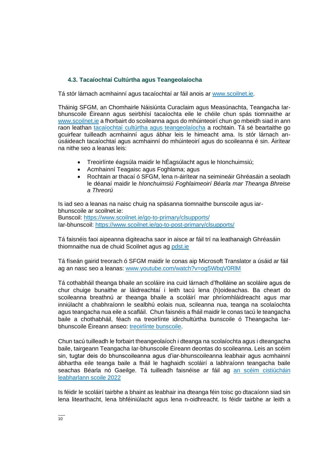## **4.3. Tacaíochtaí Cultúrtha agus Teangeolaíocha**

Tá stór lárnach acmhainní agus tacaíochtaí ar fáil anois ar [www.scoilnet.ie.](http://www.scoilnet.ie/)

Tháinig SFGM, an Chomhairle Náisiúnta Curaclaim agus Measúnachta, Teangacha Iarbhunscoile Éireann agus seirbhísí tacaíochta eile le chéile chun spás tiomnaithe ar [www.scoilnet.ie](http://www.scoilnet.ie/) a fhorbairt do scoileanna agus do mhúinteoirí chun go mbeidh siad in ann raon leathan [tacaíochtaí cultúrtha agus teangeolaíocha](https://www.scoilnet.ie/go-to-post-primary/clsupports/) a rochtain. Tá sé beartaithe go gcuirfear tuilleadh acmhainní agus ábhar leis le himeacht ama. Is stór lárnach anúsáideach tacaíochtaí agus acmhainní do mhúinteoirí agus do scoileanna é sin. Áirítear na nithe seo a leanas leis:

- Treoirlínte éagsúla maidir le hÉagsúlacht agus le hIonchuimsiú;
- Acmhainní Teagaisc agus Foghlama; agus
- Rochtain ar thacaí ó SFGM, lena n-áirítear na seimineáir Ghréasáin a seoladh le déanaí maidir le *hIonchuimsiú Foghlaimeoirí Béarla mar Theanga Bhreise a Threorú*

Is iad seo a leanas na naisc chuig na spásanna tiomnaithe bunscoile agus iarbhunscoile ar scoilnet.ie: Bunscoil:<https://www.scoilnet.ie/go-to-primary/clsupports/> Iar-bhunscoil:<https://www.scoilnet.ie/go-to-post-primary/clsupports/>

Tá faisnéis faoi aipeanna digiteacha saor in aisce ar fáil trí na leathanaigh Ghréasáin thiomnaithe nua de chuid Scoilnet agus ag [pdst.ie](https://www.pdst.ie/sites/default/files/What%20free%20digital%20tools%20are%20available.pdf)

Tá físeán gairid treorach ó SFGM maidir le conas aip Microsoft Translator a úsáid ar fáil ag an nasc seo a leanas: [www.youtube.com/watch?v=og5WbqV0RlM](http://www.youtube.com/watch?v=og5WbqV0RlM)

Tá cothabháil theanga bhaile an scoláire ina cuid lárnach d'fholláine an scoláire agus de chur chuige bunaithe ar láidreachtaí i leith tacú lena (h)oideachas. Ba cheart do scoileanna breathnú ar theanga bhaile a scoláirí mar phríomhláidreacht agus mar inniúlacht a chabhraíonn le sealbhú eolais nua, scileanna nua, teanga na scolaíochta agus teangacha nua eile a scafláil. Chun faisnéis a fháil maidir le conas tacú le teangacha baile a chothabháil, féach na treoirlínte idirchultúrtha bunscoile ó Theangacha Iarbhunscoile Éireann anseo: [treoirlínte bunscoile.](https://ppli.ie/resources/?gresource=ppli-primary-guidelines)

Chun tacú tuilleadh le forbairt theangeolaíoch i dteanga na scolaíochta agus i dteangacha baile, tairgeann Teangacha Iar-bhunscoile Éireann deontas do scoileanna. Leis an scéim sin, tugtar deis do bhunscoileanna agus d'iar-bhunscoileanna leabhair agus acmhainní ábhartha eile teanga baile a fháil le haghaidh scoláirí a labhraíonn teangacha baile seachas Béarla nó Gaeilge. Tá tuilleadh faisnéise ar fáil ag an scéim cistiúcháin [leabharlann scoile 2022](https://languagesconnect.ie/school-library-funding-scheme-2022/)

Is féidir le scoláirí tairbhe a bhaint as leabhair ina dteanga féin toisc go dtacaíonn siad sin lena litearthacht, lena bhféiniúlacht agus lena n-oidhreacht. Is féidir tairbhe ar leith a